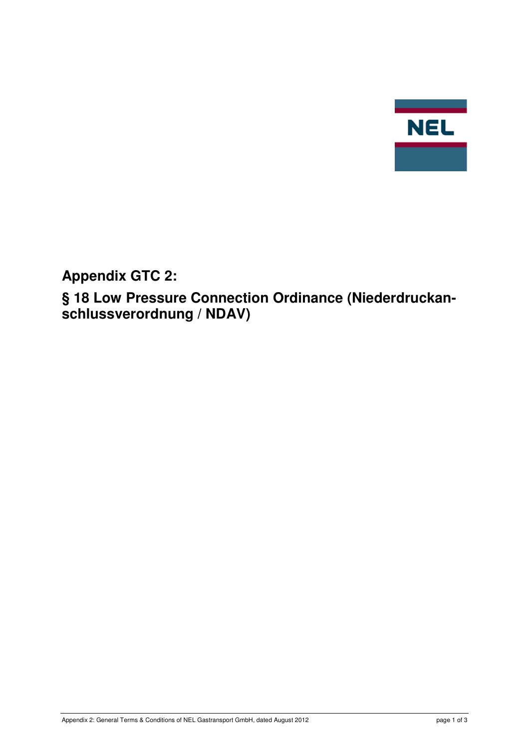

**Appendix GTC 2:** 

**§ 18 Low Pressure Connection Ordinance (Niederdruckanschlussverordnung / NDAV)**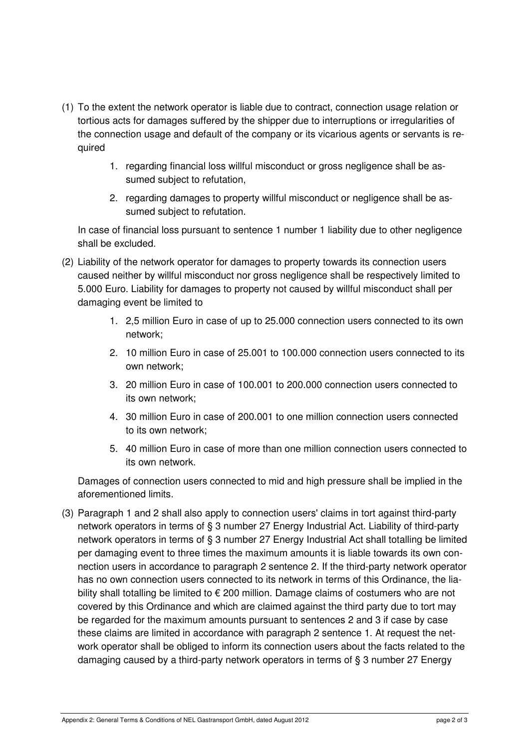- (1) To the extent the network operator is liable due to contract, connection usage relation or tortious acts for damages suffered by the shipper due to interruptions or irregularities of the connection usage and default of the company or its vicarious agents or servants is required
	- 1. regarding financial loss willful misconduct or gross negligence shall be assumed subject to refutation,
	- 2. regarding damages to property willful misconduct or negligence shall be assumed subject to refutation.

In case of financial loss pursuant to sentence 1 number 1 liability due to other negligence shall be excluded.

- (2) Liability of the network operator for damages to property towards its connection users caused neither by willful misconduct nor gross negligence shall be respectively limited to 5.000 Euro. Liability for damages to property not caused by willful misconduct shall per damaging event be limited to
	- 1. 2,5 million Euro in case of up to 25.000 connection users connected to its own network;
	- 2. 10 million Euro in case of 25.001 to 100.000 connection users connected to its own network;
	- 3. 20 million Euro in case of 100.001 to 200.000 connection users connected to its own network;
	- 4. 30 million Euro in case of 200.001 to one million connection users connected to its own network;
	- 5. 40 million Euro in case of more than one million connection users connected to its own network.

Damages of connection users connected to mid and high pressure shall be implied in the aforementioned limits.

(3) Paragraph 1 and 2 shall also apply to connection users' claims in tort against third-party network operators in terms of § 3 number 27 Energy Industrial Act. Liability of third-party network operators in terms of § 3 number 27 Energy Industrial Act shall totalling be limited per damaging event to three times the maximum amounts it is liable towards its own connection users in accordance to paragraph 2 sentence 2. If the third-party network operator has no own connection users connected to its network in terms of this Ordinance, the liability shall totalling be limited to € 200 million. Damage claims of costumers who are not covered by this Ordinance and which are claimed against the third party due to tort may be regarded for the maximum amounts pursuant to sentences 2 and 3 if case by case these claims are limited in accordance with paragraph 2 sentence 1. At request the network operator shall be obliged to inform its connection users about the facts related to the damaging caused by a third-party network operators in terms of § 3 number 27 Energy